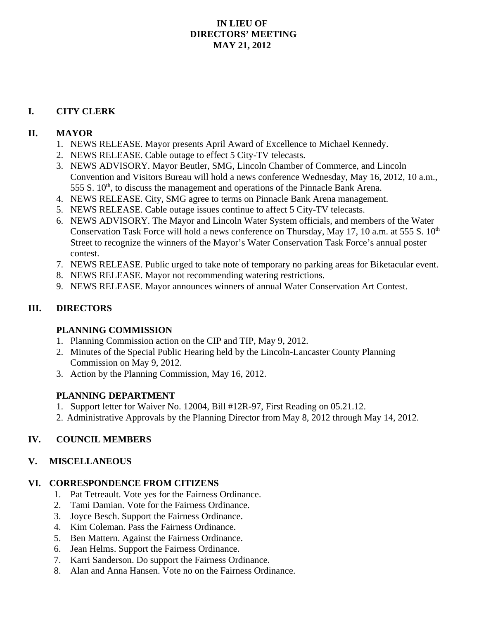## **IN LIEU OF DIRECTORS' MEETING MAY 21, 2012**

#### **I. CITY CLERK**

#### **II. MAYOR**

- 1. NEWS RELEASE. Mayor presents April Award of Excellence to Michael Kennedy.
- 2. NEWS RELEASE. Cable outage to effect 5 City-TV telecasts.
- 3. NEWS ADVISORY. Mayor Beutler, SMG, Lincoln Chamber of Commerce, and Lincoln Convention and Visitors Bureau will hold a news conference Wednesday, May 16, 2012, 10 a.m., 555 S.  $10<sup>th</sup>$ , to discuss the management and operations of the Pinnacle Bank Arena.
- 4. NEWS RELEASE. City, SMG agree to terms on Pinnacle Bank Arena management.
- 5. NEWS RELEASE. Cable outage issues continue to affect 5 City-TV telecasts.
- 6. NEWS ADVISORY. The Mayor and Lincoln Water System officials, and members of the Water Conservation Task Force will hold a news conference on Thursday, May 17, 10 a.m. at 555 S.  $10<sup>th</sup>$ Street to recognize the winners of the Mayor's Water Conservation Task Force's annual poster contest.
- 7. NEWS RELEASE. Public urged to take note of temporary no parking areas for Biketacular event.
- 8. NEWS RELEASE. Mayor not recommending watering restrictions.
- 9. NEWS RELEASE. Mayor announces winners of annual Water Conservation Art Contest.

# **III. DIRECTORS**

## **PLANNING COMMISSION**

- 1. Planning Commission action on the CIP and TIP, May 9, 2012.
- 2. Minutes of the Special Public Hearing held by the Lincoln-Lancaster County Planning Commission on May 9, 2012.
- 3. Action by the Planning Commission, May 16, 2012.

## **PLANNING DEPARTMENT**

- 1. Support letter for Waiver No. 12004, Bill #12R-97, First Reading on 05.21.12.
- 2. Administrative Approvals by the Planning Director from May 8, 2012 through May 14, 2012.

## **IV. COUNCIL MEMBERS**

## **V. MISCELLANEOUS**

#### **VI. CORRESPONDENCE FROM CITIZENS**

- 1. Pat Tetreault. Vote yes for the Fairness Ordinance.
- 2. Tami Damian. Vote for the Fairness Ordinance.
- 3. Joyce Besch. Support the Fairness Ordinance.
- 4. Kim Coleman. Pass the Fairness Ordinance.
- 5. Ben Mattern. Against the Fairness Ordinance.
- 6. Jean Helms. Support the Fairness Ordinance.
- 7. Karri Sanderson. Do support the Fairness Ordinance.
- 8. Alan and Anna Hansen. Vote no on the Fairness Ordinance.